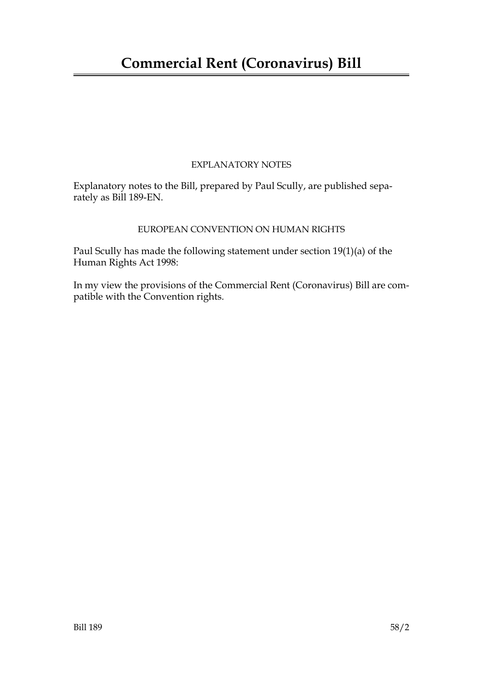## **Commercial Rent (Coronavirus) Bill**

#### EXPLANATORY NOTES

Explanatory notes to the Bill, prepared by Paul Scully, are published separately as Bill 189-EN.

#### EUROPEAN CONVENTION ON HUMAN RIGHTS

Paul Scully has made the following statement under section 19(1)(a) of the Human Rights Act 1998:

In my view the provisions of the Commercial Rent (Coronavirus) Bill are compatible with the Convention rights.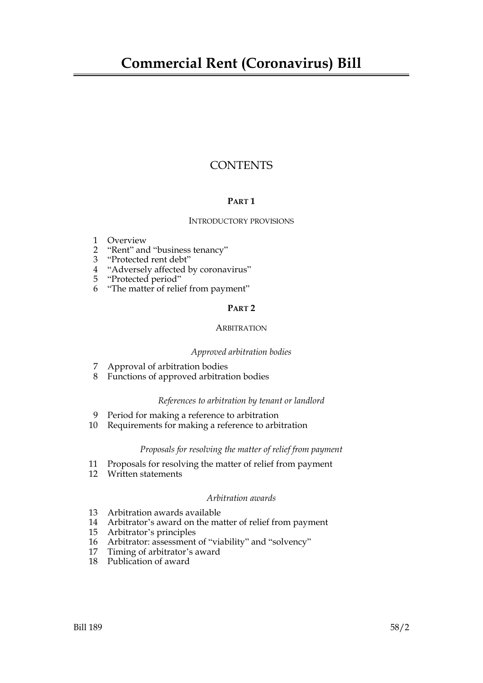### **CONTENTS**

#### **PART 1**

#### INTRODUCTORY PROVISIONS

- 1 Overview
- 2 "Rent" and "business tenancy"
- 3 "Protected rent debt"
- 4 "Adversely affected by coronavirus"
- 5 "Protected period"
- 6 "The matter of relief from payment"

#### **PART 2**

#### **ARBITRATION**

#### *Approved arbitration bodies*

- 7 Approval of arbitration bodies
- 8 Functions of approved arbitration bodies

#### *References to arbitration by tenant or landlord*

- 9 Period for making a reference to arbitration
- 10 Requirements for making a reference to arbitration

#### *Proposals for resolving the matter of relief from payment*

- 11 Proposals for resolving the matter of relief from payment
- 12 Written statements

#### *Arbitration awards*

- 13 Arbitration awards available
- 14 Arbitrator's award on the matter of relief from payment
- 15 Arbitrator's principles
- 16 Arbitrator: assessment of "viability" and "solvency"
- 17 Timing of arbitrator's award
- 18 Publication of award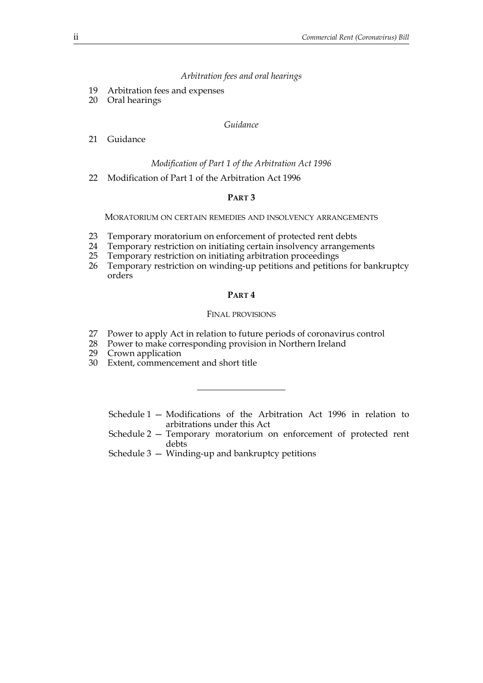#### *Arbitration fees and oral hearings*

- 19 Arbitration fees and expenses
- 20 Oral hearings

#### *Guidance*

21 Guidance

#### *Modification of Part 1 of the Arbitration Act 1996*

22 Modification of Part 1 of the Arbitration Act 1996

#### **PART 3**

MORATORIUM ON CERTAIN REMEDIES AND INSOLVENCY ARRANGEMENTS

- 23 Temporary moratorium on enforcement of protected rent debts
- 24 Temporary restriction on initiating certain insolvency arrangements
- 25 Temporary restriction on initiating arbitration proceedings
- 26 Temporary restriction on winding-up petitions and petitions for bankruptcy orders

#### **PART 4**

#### FINAL PROVISIONS

- 27 Power to apply Act in relation to future periods of coronavirus control
- 28 Power to make corresponding provision in Northern Ireland
- 29 Crown application
- 30 Extent, commencement and short title

Schedule 1 — Modifications of the Arbitration Act 1996 in relation to arbitrations under this Act

Schedule 2 — Temporary moratorium on enforcement of protected rent debts

Schedule 3 — Winding-up and bankruptcy petitions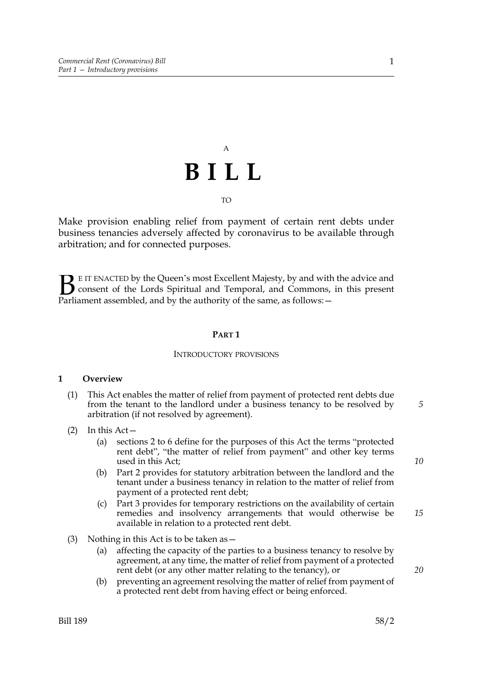# A **BILL** TO

Make provision enabling relief from payment of certain rent debts under business tenancies adversely affected by coronavirus to be available through arbitration; and for connected purposes.

E IT ENACTED by the Queen's most Excellent Majesty, by and with the advice and consent of the Lords Spiritual and Temporal, and Commons, in this present **B** E IT ENACTED by the Queen's most Excellent Majesty, by and with consent of the Lords Spiritual and Temporal, and Commons, Parliament assembled, and by the authority of the same, as follows:  $-$ 

#### **PART 1**

#### INTRODUCTORY PROVISIONS

#### **1 Overview**

- (1) This Act enables the matter of relief from payment of protected rent debts due from the tenant to the landlord under a business tenancy to be resolved by arbitration (if not resolved by agreement).
- $(2)$  In this Act
	- (a) sections 2 to 6 define for the purposes of this Act the terms "protected rent debt", "the matter of relief from payment" and other key terms used in this Act;
	- (b) Part 2 provides for statutory arbitration between the landlord and the tenant under a business tenancy in relation to the matter of relief from payment of a protected rent debt;
	- (c) Part 3 provides for temporary restrictions on the availability of certain remedies and insolvency arrangements that would otherwise be available in relation to a protected rent debt.
- (3) Nothing in this Act is to be taken as—
	- (a) affecting the capacity of the parties to a business tenancy to resolve by agreement, at any time, the matter of relief from payment of a protected rent debt (or any other matter relating to the tenancy), or
	- (b) preventing an agreement resolving the matter of relief from payment of a protected rent debt from having effect or being enforced.

1

*10*

*15*

*20*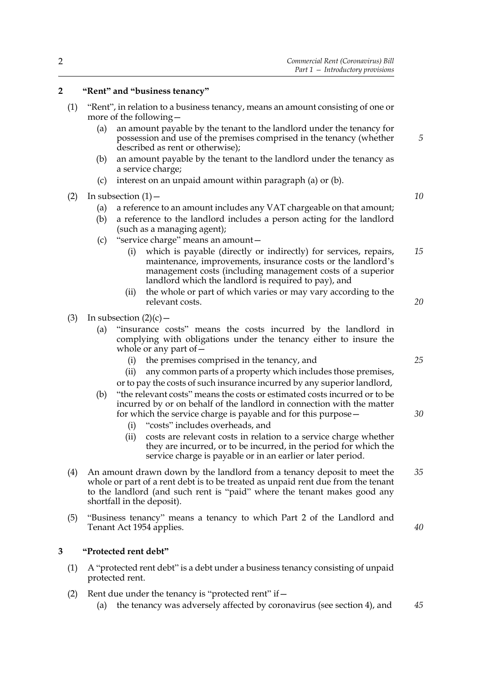#### **2 "Rent" and "business tenancy"**

- (1) "Rent", in relation to a business tenancy, means an amount consisting of one or more of the following—
	- (a) an amount payable by the tenant to the landlord under the tenancy for possession and use of the premises comprised in the tenancy (whether described as rent or otherwise);
	- (b) an amount payable by the tenant to the landlord under the tenancy as a service charge;
	- (c) interest on an unpaid amount within paragraph (a) or (b).
- (2) In subsection  $(1)$ 
	- (a) a reference to an amount includes any VAT chargeable on that amount;
	- (b) a reference to the landlord includes a person acting for the landlord (such as a managing agent);
	- (c) "service charge" means an amount—
		- (i) which is payable (directly or indirectly) for services, repairs, maintenance, improvements, insurance costs or the landlord's management costs (including management costs of a superior landlord which the landlord is required to pay), and *15*
		- (ii) the whole or part of which varies or may vary according to the relevant costs.
- (3) In subsection  $(2)(c)$ 
	- (a) "insurance costs" means the costs incurred by the landlord in complying with obligations under the tenancy either to insure the whole or any part of  $-\frac{1}{2}$ 
		- (i) the premises comprised in the tenancy, and
		- (ii) any common parts of a property which includes those premises,
		- or to pay the costs of such insurance incurred by any superior landlord,
	- (b) "the relevant costs" means the costs or estimated costs incurred or to be incurred by or on behalf of the landlord in connection with the matter for which the service charge is payable and for this purpose—
		- (i) "costs" includes overheads, and
		- (ii) costs are relevant costs in relation to a service charge whether they are incurred, or to be incurred, in the period for which the service charge is payable or in an earlier or later period.
- (4) An amount drawn down by the landlord from a tenancy deposit to meet the whole or part of a rent debt is to be treated as unpaid rent due from the tenant to the landlord (and such rent is "paid" where the tenant makes good any shortfall in the deposit). *35*
- (5) "Business tenancy" means a tenancy to which Part 2 of the Landlord and Tenant Act 1954 applies.

#### **3 "Protected rent debt"**

- (1) A "protected rent debt" is a debt under a business tenancy consisting of unpaid protected rent.
- (2) Rent due under the tenancy is "protected rent" if  $-$ 
	- (a) the tenancy was adversely affected by coronavirus (see section 4), and *45*

*10*

*5*

*25*

*20*

*30*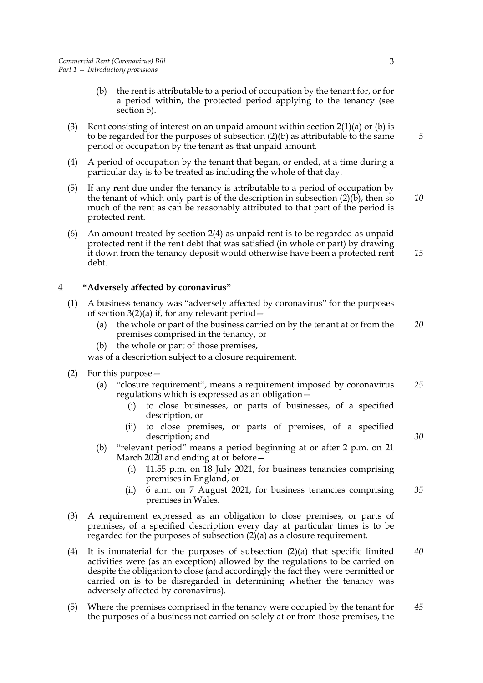- (b) the rent is attributable to a period of occupation by the tenant for, or for a period within, the protected period applying to the tenancy (see section 5).
- (3) Rent consisting of interest on an unpaid amount within section  $2(1)(a)$  or (b) is to be regarded for the purposes of subsection (2)(b) as attributable to the same period of occupation by the tenant as that unpaid amount.
- (4) A period of occupation by the tenant that began, or ended, at a time during a particular day is to be treated as including the whole of that day.
- (5) If any rent due under the tenancy is attributable to a period of occupation by the tenant of which only part is of the description in subsection  $(2)(b)$ , then so much of the rent as can be reasonably attributed to that part of the period is protected rent.
- (6) An amount treated by section 2(4) as unpaid rent is to be regarded as unpaid protected rent if the rent debt that was satisfied (in whole or part) by drawing it down from the tenancy deposit would otherwise have been a protected rent debt. *15*

#### **4 "Adversely affected by coronavirus"**

- (1) A business tenancy was "adversely affected by coronavirus" for the purposes of section  $3(2)(a)$  if, for any relevant period –
	- (a) the whole or part of the business carried on by the tenant at or from the premises comprised in the tenancy, or *20*
	- the whole or part of those premises,

was of a description subject to a closure requirement.

- (2) For this purpose—
	- (a) "closure requirement", means a requirement imposed by coronavirus regulations which is expressed as an obligation— *25*
		- (i) to close businesses, or parts of businesses, of a specified description, or
		- (ii) to close premises, or parts of premises, of a specified description; and
	- (b) "relevant period" means a period beginning at or after 2 p.m. on 21 March 2020 and ending at or before—
		- (i) 11.55 p.m. on 18 July 2021, for business tenancies comprising premises in England, or
		- (ii) 6 a.m. on 7 August 2021, for business tenancies comprising premises in Wales. *35*
- (3) A requirement expressed as an obligation to close premises, or parts of premises, of a specified description every day at particular times is to be regarded for the purposes of subsection (2)(a) as a closure requirement.
- (4) It is immaterial for the purposes of subsection (2)(a) that specific limited activities were (as an exception) allowed by the regulations to be carried on despite the obligation to close (and accordingly the fact they were permitted or carried on is to be disregarded in determining whether the tenancy was adversely affected by coronavirus). *40*
- (5) Where the premises comprised in the tenancy were occupied by the tenant for the purposes of a business not carried on solely at or from those premises, the *45*

*5*

*10*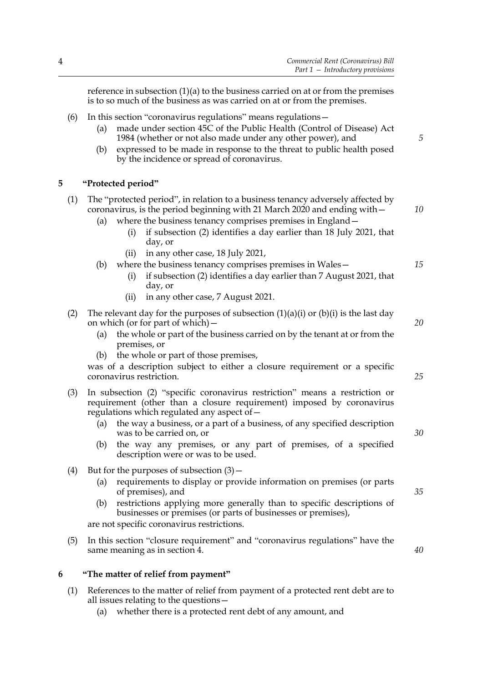reference in subsection (1)(a) to the business carried on at or from the premises is to so much of the business as was carried on at or from the premises.

- (6) In this section "coronavirus regulations" means regulations—
	- (a) made under section 45C of the Public Health (Control of Disease) Act 1984 (whether or not also made under any other power), and
	- (b) expressed to be made in response to the threat to public health posed by the incidence or spread of coronavirus.

#### **5 "Protected period"**

| (1) The "protected period", in relation to a business tenancy adversely affected by |
|-------------------------------------------------------------------------------------|
| coronavirus, is the period beginning with 21 March 2020 and ending with –           |

- (a) where the business tenancy comprises premises in England—
	- (i) if subsection (2) identifies a day earlier than 18 July 2021, that day, or
	- (ii) in any other case, 18 July 2021,
- (b) where the business tenancy comprises premises in Wales—
	- (i) if subsection (2) identifies a day earlier than 7 August 2021, that day, or
	- (ii) in any other case, 7 August 2021.
- (2) The relevant day for the purposes of subsection  $(1)(a)(i)$  or  $(b)(i)$  is the last day on which (or for part of which)—
	- (a) the whole or part of the business carried on by the tenant at or from the premises, or
	- (b) the whole or part of those premises,

was of a description subject to either a closure requirement or a specific coronavirus restriction.

- (3) In subsection (2) "specific coronavirus restriction" means a restriction or requirement (other than a closure requirement) imposed by coronavirus regulations which regulated any aspect of—
	- (a) the way a business, or a part of a business, of any specified description was to be carried on, or
	- (b) the way any premises, or any part of premises, of a specified description were or was to be used.
- (4) But for the purposes of subsection  $(3)$ 
	- (a) requirements to display or provide information on premises (or parts of premises), and
	- (b) restrictions applying more generally than to specific descriptions of businesses or premises (or parts of businesses or premises),

are not specific coronavirus restrictions.

(5) In this section "closure requirement" and "coronavirus regulations" have the same meaning as in section 4.

- (1) References to the matter of relief from payment of a protected rent debt are to all issues relating to the questions—
	- (a) whether there is a protected rent debt of any amount, and

*25*

*20*

*5*

*10*

*15*

*35*

*30*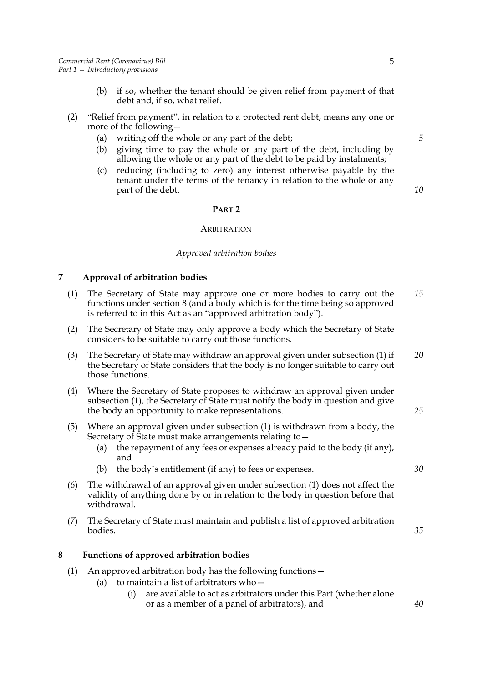- (b) if so, whether the tenant should be given relief from payment of that debt and, if so, what relief.
- (2) "Relief from payment", in relation to a protected rent debt, means any one or more of the following—
	- (a) writing off the whole or any part of the debt;
	- (b) giving time to pay the whole or any part of the debt, including by allowing the whole or any part of the debt to be paid by instalments;
	- (c) reducing (including to zero) any interest otherwise payable by the tenant under the terms of the tenancy in relation to the whole or any part of the debt.

### *10*

*5*

#### **PART 2**

#### **ARBITRATION**

#### *Approved arbitration bodies*

#### **7 Approval of arbitration bodies**

- (1) The Secretary of State may approve one or more bodies to carry out the functions under section 8 (and a body which is for the time being so approved is referred to in this Act as an "approved arbitration body"). *15*
- (2) The Secretary of State may only approve a body which the Secretary of State considers to be suitable to carry out those functions.
- (3) The Secretary of State may withdraw an approval given under subsection (1) if the Secretary of State considers that the body is no longer suitable to carry out those functions. *20*
- (4) Where the Secretary of State proposes to withdraw an approval given under subsection (1), the Secretary of State must notify the body in question and give the body an opportunity to make representations.
- (5) Where an approval given under subsection (1) is withdrawn from a body, the Secretary of State must make arrangements relating to—
	- (a) the repayment of any fees or expenses already paid to the body (if any), and
	- (b) the body's entitlement (if any) to fees or expenses.
- (6) The withdrawal of an approval given under subsection (1) does not affect the validity of anything done by or in relation to the body in question before that withdrawal.
- (7) The Secretary of State must maintain and publish a list of approved arbitration bodies.

#### **8 Functions of approved arbitration bodies**

- (1) An approved arbitration body has the following functions—
	- (a) to maintain a list of arbitrators who—
		- (i) are available to act as arbitrators under this Part (whether alone or as a member of a panel of arbitrators), and

*35*

*40*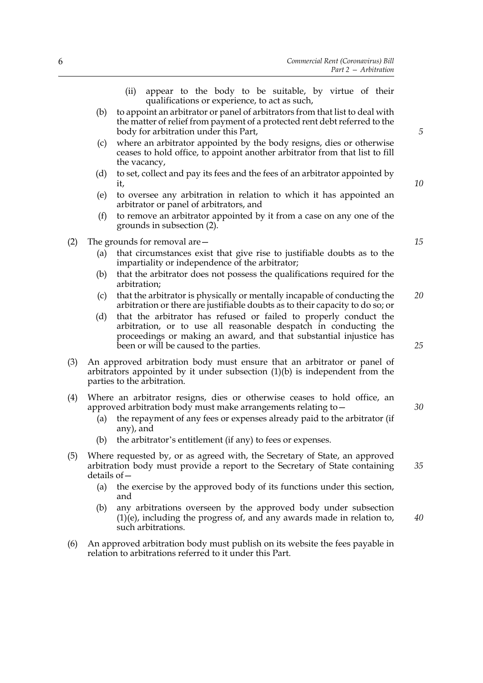- (ii) appear to the body to be suitable, by virtue of their qualifications or experience, to act as such,
- (b) to appoint an arbitrator or panel of arbitrators from that list to deal with the matter of relief from payment of a protected rent debt referred to the body for arbitration under this Part,
- (c) where an arbitrator appointed by the body resigns, dies or otherwise ceases to hold office, to appoint another arbitrator from that list to fill the vacancy,
- (d) to set, collect and pay its fees and the fees of an arbitrator appointed by it,
- (e) to oversee any arbitration in relation to which it has appointed an arbitrator or panel of arbitrators, and
- (f) to remove an arbitrator appointed by it from a case on any one of the grounds in subsection (2).
- (2) The grounds for removal are—
	- (a) that circumstances exist that give rise to justifiable doubts as to the impartiality or independence of the arbitrator;
	- (b) that the arbitrator does not possess the qualifications required for the arbitration;
	- (c) that the arbitrator is physically or mentally incapable of conducting the arbitration or there are justifiable doubts as to their capacity to do so; or *20*
	- (d) that the arbitrator has refused or failed to properly conduct the arbitration, or to use all reasonable despatch in conducting the proceedings or making an award, and that substantial injustice has been or will be caused to the parties.
- (3) An approved arbitration body must ensure that an arbitrator or panel of arbitrators appointed by it under subsection (1)(b) is independent from the parties to the arbitration.
- (4) Where an arbitrator resigns, dies or otherwise ceases to hold office, an approved arbitration body must make arrangements relating to—
	- (a) the repayment of any fees or expenses already paid to the arbitrator (if any), and
	- (b) the arbitrator's entitlement (if any) to fees or expenses.
- (5) Where requested by, or as agreed with, the Secretary of State, an approved arbitration body must provide a report to the Secretary of State containing details of— *35*
	- (a) the exercise by the approved body of its functions under this section, and
	- (b) any arbitrations overseen by the approved body under subsection (1)(e), including the progress of, and any awards made in relation to, such arbitrations. *40*
- (6) An approved arbitration body must publish on its website the fees payable in relation to arbitrations referred to it under this Part.

*5*

*10*

*15*

*25*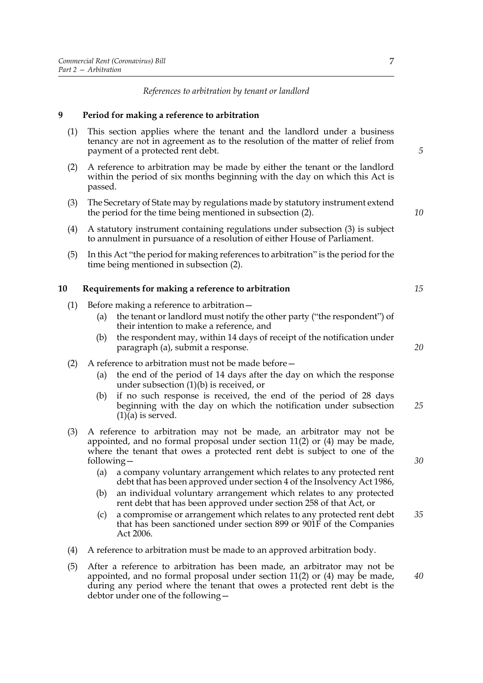#### *References to arbitration by tenant or landlord*

#### **9 Period for making a reference to arbitration**

- (1) This section applies where the tenant and the landlord under a business tenancy are not in agreement as to the resolution of the matter of relief from payment of a protected rent debt.
- (2) A reference to arbitration may be made by either the tenant or the landlord within the period of six months beginning with the day on which this Act is passed.
- (3) The Secretary of State may by regulations made by statutory instrument extend the period for the time being mentioned in subsection (2).
- (4) A statutory instrument containing regulations under subsection (3) is subject to annulment in pursuance of a resolution of either House of Parliament.
- (5) In this Act "the period for making references to arbitration" is the period for the time being mentioned in subsection (2).

#### **10 Requirements for making a reference to arbitration**

- (1) Before making a reference to arbitration—
	- (a) the tenant or landlord must notify the other party ("the respondent") of their intention to make a reference, and
	- (b) the respondent may, within 14 days of receipt of the notification under paragraph (a), submit a response.
- (2) A reference to arbitration must not be made before—
	- (a) the end of the period of 14 days after the day on which the response under subsection (1)(b) is received, or
	- (b) if no such response is received, the end of the period of 28 days beginning with the day on which the notification under subsection  $(1)(a)$  is served.
- (3) A reference to arbitration may not be made, an arbitrator may not be appointed, and no formal proposal under section 11(2) or (4) may be made, where the tenant that owes a protected rent debt is subject to one of the following—
	- (a) a company voluntary arrangement which relates to any protected rent debt that has been approved under section 4 of the Insolvency Act 1986,
	- (b) an individual voluntary arrangement which relates to any protected rent debt that has been approved under section 258 of that Act, or
	- (c) a compromise or arrangement which relates to any protected rent debt that has been sanctioned under section 899 or 901F of the Companies Act 2006.
- (4) A reference to arbitration must be made to an approved arbitration body.
- (5) After a reference to arbitration has been made, an arbitrator may not be appointed, and no formal proposal under section 11(2) or (4) may be made, during any period where the tenant that owes a protected rent debt is the debtor under one of the following—

7

*5*

*10*

*15*

*20*

*25*

*30*

*35*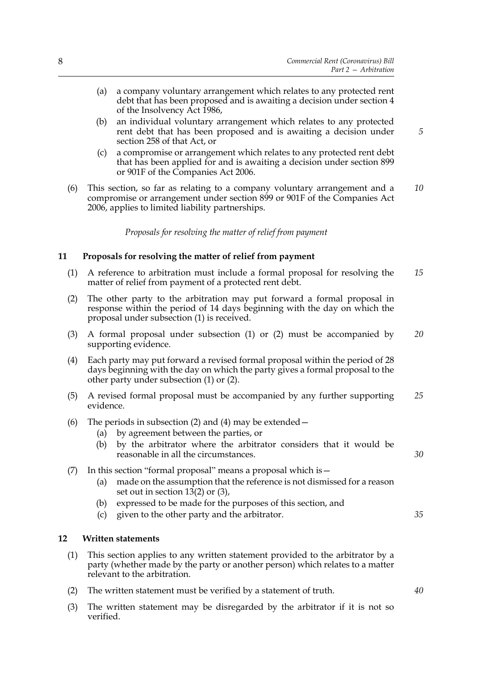*5*

- (a) a company voluntary arrangement which relates to any protected rent debt that has been proposed and is awaiting a decision under section 4 of the Insolvency Act 1986,
- (b) an individual voluntary arrangement which relates to any protected rent debt that has been proposed and is awaiting a decision under section 258 of that Act, or
- (c) a compromise or arrangement which relates to any protected rent debt that has been applied for and is awaiting a decision under section 899 or 901F of the Companies Act 2006.
- (6) This section, so far as relating to a company voluntary arrangement and a compromise or arrangement under section 899 or 901F of the Companies Act 2006, applies to limited liability partnerships. *10*

*Proposals for resolving the matter of relief from payment*

#### **11 Proposals for resolving the matter of relief from payment**

- (1) A reference to arbitration must include a formal proposal for resolving the matter of relief from payment of a protected rent debt. *15*
- (2) The other party to the arbitration may put forward a formal proposal in response within the period of 14 days beginning with the day on which the proposal under subsection (1) is received.
- (3) A formal proposal under subsection (1) or (2) must be accompanied by supporting evidence. *20*
- (4) Each party may put forward a revised formal proposal within the period of 28 days beginning with the day on which the party gives a formal proposal to the other party under subsection (1) or (2).
- (5) A revised formal proposal must be accompanied by any further supporting evidence. *25*
- (6) The periods in subsection (2) and (4) may be extended  $-$ 
	- (a) by agreement between the parties, or
	- (b) by the arbitrator where the arbitrator considers that it would be reasonable in all the circumstances.
- (7) In this section "formal proposal" means a proposal which is—
	- (a) made on the assumption that the reference is not dismissed for a reason set out in section 13(2) or (3),
	- (b) expressed to be made for the purposes of this section, and
	- (c) given to the other party and the arbitrator.

#### **12 Written statements**

- (1) This section applies to any written statement provided to the arbitrator by a party (whether made by the party or another person) which relates to a matter relevant to the arbitration.
- (2) The written statement must be verified by a statement of truth.
- (3) The written statement may be disregarded by the arbitrator if it is not so verified.

*40*

*30*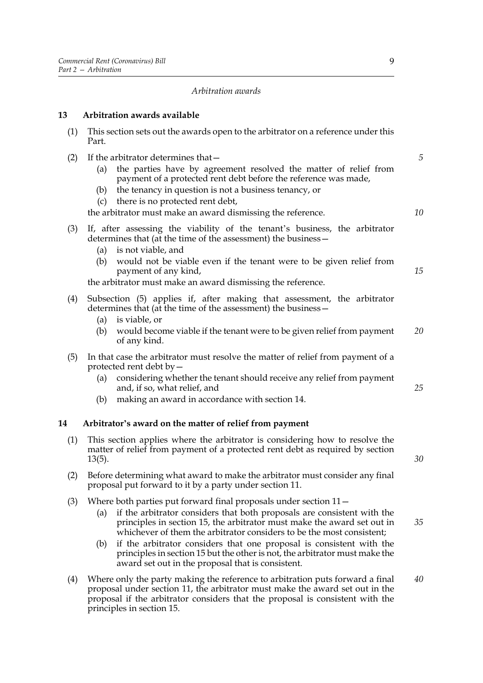#### *Arbitration awards*

#### **13 Arbitration awards available**

| (1) | This section sets out the awards open to the arbitrator on a reference under this<br>Part.                                                                                                                                                                                                                                                                                                                                                                                                                                   |         |
|-----|------------------------------------------------------------------------------------------------------------------------------------------------------------------------------------------------------------------------------------------------------------------------------------------------------------------------------------------------------------------------------------------------------------------------------------------------------------------------------------------------------------------------------|---------|
| (2) | If the arbitrator determines that -<br>the parties have by agreement resolved the matter of relief from<br>(a)<br>payment of a protected rent debt before the reference was made,<br>the tenancy in question is not a business tenancy, or<br>(b)<br>there is no protected rent debt,<br>(c)<br>the arbitrator must make an award dismissing the reference.                                                                                                                                                                  | 5<br>10 |
| (3) | If, after assessing the viability of the tenant's business, the arbitrator<br>determines that (at the time of the assessment) the business –<br>is not viable, and<br>(a)<br>would not be viable even if the tenant were to be given relief from<br>(b)<br>payment of any kind,<br>the arbitrator must make an award dismissing the reference.                                                                                                                                                                               | 15      |
| (4) | Subsection (5) applies if, after making that assessment, the arbitrator<br>determines that (at the time of the assessment) the business –<br>is viable, or<br>(a)<br>would become viable if the tenant were to be given relief from payment<br>(b)<br>of any kind.                                                                                                                                                                                                                                                           | 20      |
| (5) | In that case the arbitrator must resolve the matter of relief from payment of a<br>protected rent debt by $-$<br>considering whether the tenant should receive any relief from payment<br>(a)<br>and, if so, what relief, and<br>making an award in accordance with section 14.<br>(b)                                                                                                                                                                                                                                       | 25      |
| 14  | Arbitrator's award on the matter of relief from payment                                                                                                                                                                                                                                                                                                                                                                                                                                                                      |         |
| (1) | This section applies where the arbitrator is considering how to resolve the<br>matter of relief from payment of a protected rent debt as required by section<br>$13(5)$ .                                                                                                                                                                                                                                                                                                                                                    | 30      |
| (2) | Before determining what award to make the arbitrator must consider any final<br>proposal put forward to it by a party under section 11.                                                                                                                                                                                                                                                                                                                                                                                      |         |
| (3) | Where both parties put forward final proposals under section $11$ –<br>if the arbitrator considers that both proposals are consistent with the<br>(a)<br>principles in section 15, the arbitrator must make the award set out in<br>whichever of them the arbitrator considers to be the most consistent;<br>if the arbitrator considers that one proposal is consistent with the<br>(b)<br>principles in section 15 but the other is not, the arbitrator must make the<br>award set out in the proposal that is consistent. | 35      |
| (4) | Where only the party making the reference to arbitration puts forward a final                                                                                                                                                                                                                                                                                                                                                                                                                                                | 40      |

proposal under section 11, the arbitrator must make the award set out in the proposal if the arbitrator considers that the proposal is consistent with the principles in section 15.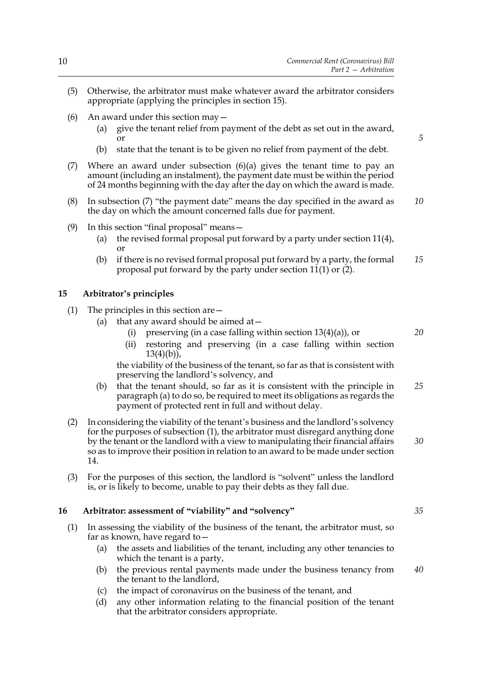- (5) Otherwise, the arbitrator must make whatever award the arbitrator considers appropriate (applying the principles in section 15).
- (6) An award under this section may  $-$ 
	- (a) give the tenant relief from payment of the debt as set out in the award, or
	- (b) state that the tenant is to be given no relief from payment of the debt.
- (7) Where an award under subsection  $(6)(a)$  gives the tenant time to pay an amount (including an instalment), the payment date must be within the period of 24 months beginning with the day after the day on which the award is made.
- (8) In subsection (7) "the payment date" means the day specified in the award as the day on which the amount concerned falls due for payment. *10*
- (9) In this section "final proposal" means—
	- (a) the revised formal proposal put forward by a party under section 11(4), or
	- (b) if there is no revised formal proposal put forward by a party, the formal proposal put forward by the party under section 11(1) or (2). *15*

#### **15 Arbitrator's principles**

- (1) The principles in this section are—
	- (a) that any award should be aimed at  $$ 
		- preserving (in a case falling within section  $13(4)(a)$ ), or
		- (ii) restoring and preserving (in a case falling within section  $13(4)(b)$ ,

the viability of the business of the tenant, so far as that is consistent with preserving the landlord's solvency, and

- (b) that the tenant should, so far as it is consistent with the principle in paragraph (a) to do so, be required to meet its obligations as regards the payment of protected rent in full and without delay. *25*
- (2) In considering the viability of the tenant's business and the landlord's solvency for the purposes of subsection (1), the arbitrator must disregard anything done by the tenant or the landlord with a view to manipulating their financial affairs so as to improve their position in relation to an award to be made under section 14.
- (3) For the purposes of this section, the landlord is "solvent" unless the landlord is, or is likely to become, unable to pay their debts as they fall due.

#### **16 Arbitrator: assessment of "viability" and "solvency"**

- (1) In assessing the viability of the business of the tenant, the arbitrator must, so far as known, have regard to—
	- (a) the assets and liabilities of the tenant, including any other tenancies to which the tenant is a party,
	- (b) the previous rental payments made under the business tenancy from the tenant to the landlord, *40*
	- (c) the impact of coronavirus on the business of the tenant, and
	- (d) any other information relating to the financial position of the tenant that the arbitrator considers appropriate.

*5*

*35*

*30*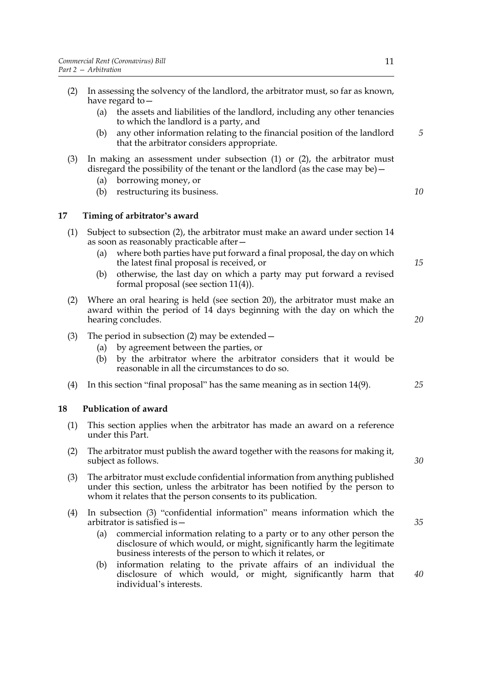- (2) In assessing the solvency of the landlord, the arbitrator must, so far as known, have regard to—
	- (a) the assets and liabilities of the landlord, including any other tenancies to which the landlord is a party, and
	- (b) any other information relating to the financial position of the landlord that the arbitrator considers appropriate.
- (3) In making an assessment under subsection (1) or (2), the arbitrator must disregard the possibility of the tenant or the landlord (as the case may be) –
	- (a) borrowing money, or
	- (b) restructuring its business.

#### **17 Timing of arbitrator's award**

- (1) Subject to subsection (2), the arbitrator must make an award under section 14 as soon as reasonably practicable after—
	- (a) where both parties have put forward a final proposal, the day on which the latest final proposal is received, or
	- (b) otherwise, the last day on which a party may put forward a revised formal proposal (see section 11(4)).
- (2) Where an oral hearing is held (see section 20), the arbitrator must make an award within the period of 14 days beginning with the day on which the hearing concludes.
- (3) The period in subsection (2) may be extended—
	- (a) by agreement between the parties, or
	- (b) by the arbitrator where the arbitrator considers that it would be reasonable in all the circumstances to do so.
- (4) In this section "final proposal" has the same meaning as in section 14(9).

#### **18 Publication of award**

- (1) This section applies when the arbitrator has made an award on a reference under this Part.
- (2) The arbitrator must publish the award together with the reasons for making it, subject as follows.
- (3) The arbitrator must exclude confidential information from anything published under this section, unless the arbitrator has been notified by the person to whom it relates that the person consents to its publication.
- (4) In subsection (3) "confidential information" means information which the arbitrator is satisfied is—
	- (a) commercial information relating to a party or to any other person the disclosure of which would, or might, significantly harm the legitimate business interests of the person to which it relates, or
	- (b) information relating to the private affairs of an individual the disclosure of which would, or might, significantly harm that individual's interests.

*30*

*5*

11

*15*

*20*

*10*

*25*

*35*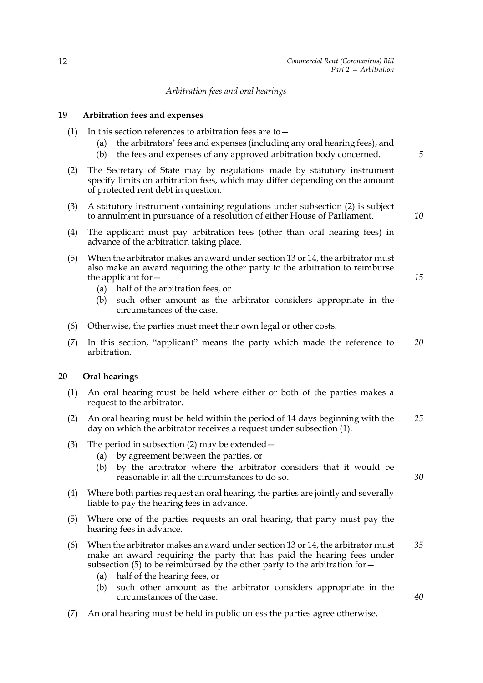*Arbitration fees and oral hearings*

#### **19 Arbitration fees and expenses**

- (1) In this section references to arbitration fees are to  $-$ 
	- (a) the arbitrators' fees and expenses (including any oral hearing fees), and
	- (b) the fees and expenses of any approved arbitration body concerned.
- (2) The Secretary of State may by regulations made by statutory instrument specify limits on arbitration fees, which may differ depending on the amount of protected rent debt in question.
- (3) A statutory instrument containing regulations under subsection (2) is subject to annulment in pursuance of a resolution of either House of Parliament.
- (4) The applicant must pay arbitration fees (other than oral hearing fees) in advance of the arbitration taking place.
- (5) When the arbitrator makes an award under section 13 or 14, the arbitrator must also make an award requiring the other party to the arbitration to reimburse the applicant for—
	- (a) half of the arbitration fees, or
	- (b) such other amount as the arbitrator considers appropriate in the circumstances of the case.
- (6) Otherwise, the parties must meet their own legal or other costs.
- (7) In this section, "applicant" means the party which made the reference to arbitration. *20*

#### **20 Oral hearings**

- (1) An oral hearing must be held where either or both of the parties makes a request to the arbitrator.
- (2) An oral hearing must be held within the period of 14 days beginning with the day on which the arbitrator receives a request under subsection (1). *25*
- (3) The period in subsection (2) may be extended—
	- (a) by agreement between the parties, or
	- (b) by the arbitrator where the arbitrator considers that it would be reasonable in all the circumstances to do so.
- (4) Where both parties request an oral hearing, the parties are jointly and severally liable to pay the hearing fees in advance.
- (5) Where one of the parties requests an oral hearing, that party must pay the hearing fees in advance.
- (6) When the arbitrator makes an award under section 13 or 14, the arbitrator must make an award requiring the party that has paid the hearing fees under subsection (5) to be reimbursed by the other party to the arbitration for  $-$ *35*
	- (a) half of the hearing fees, or
	- (b) such other amount as the arbitrator considers appropriate in the circumstances of the case.
- (7) An oral hearing must be held in public unless the parties agree otherwise.

*30*

*10*

*15*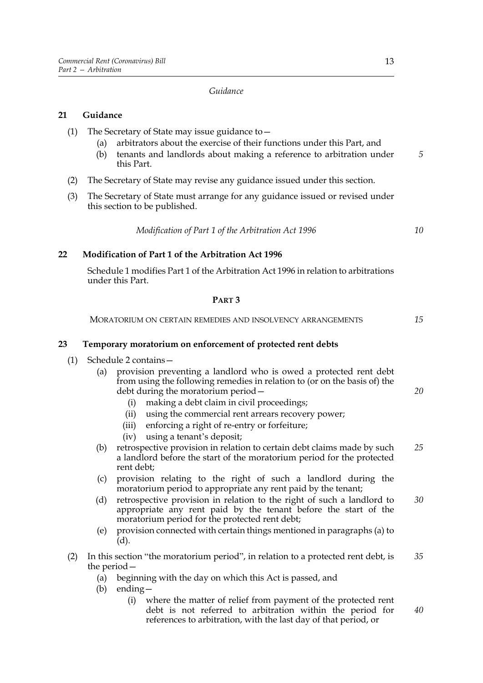#### *Guidance*

#### **21 Guidance**

- (1) The Secretary of State may issue guidance to—
	- (a) arbitrators about the exercise of their functions under this Part, and
	- (b) tenants and landlords about making a reference to arbitration under this Part.
- (2) The Secretary of State may revise any guidance issued under this section.
- (3) The Secretary of State must arrange for any guidance issued or revised under this section to be published.

*Modification of Part 1 of the Arbitration Act 1996*

*10*

*20*

*40*

*5*

#### **22 Modification of Part 1 of the Arbitration Act 1996**

Schedule 1 modifies Part 1 of the Arbitration Act 1996 in relation to arbitrations under this Part.

#### **PART 3**

| MORATORIUM ON CERTAIN REMEDIES AND INSOLVENCY ARRANGEMENTS |  |
|------------------------------------------------------------|--|
|------------------------------------------------------------|--|

#### **23 Temporary moratorium on enforcement of protected rent debts**

- (1) Schedule 2 contains—
	- (a) provision preventing a landlord who is owed a protected rent debt from using the following remedies in relation to (or on the basis of) the debt during the moratorium period—
		- (i) making a debt claim in civil proceedings;
		- (ii) using the commercial rent arrears recovery power;
		- (iii) enforcing a right of re-entry or forfeiture;
		- (iv) using a tenant's deposit;
	- (b) retrospective provision in relation to certain debt claims made by such a landlord before the start of the moratorium period for the protected rent debt; *25*
	- (c) provision relating to the right of such a landlord during the moratorium period to appropriate any rent paid by the tenant;
	- (d) retrospective provision in relation to the right of such a landlord to appropriate any rent paid by the tenant before the start of the moratorium period for the protected rent debt; *30*
	- (e) provision connected with certain things mentioned in paragraphs (a) to  $\overline{d}$ ).
- (2) In this section "the moratorium period", in relation to a protected rent debt, is the period— *35*
	- (a) beginning with the day on which this Act is passed, and
	- (b) ending—
		- (i) where the matter of relief from payment of the protected rent debt is not referred to arbitration within the period for references to arbitration, with the last day of that period, or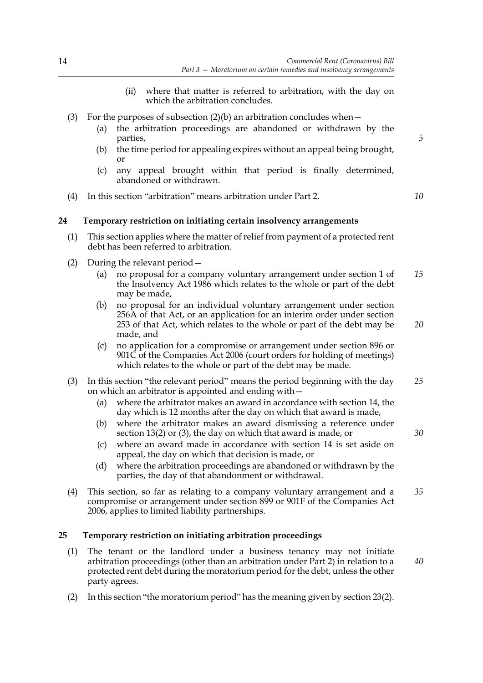- (ii) where that matter is referred to arbitration, with the day on which the arbitration concludes.
- (3) For the purposes of subsection  $(2)(b)$  an arbitration concludes when  $-$ 
	- (a) the arbitration proceedings are abandoned or withdrawn by the parties,
	- (b) the time period for appealing expires without an appeal being brought, or
	- (c) any appeal brought within that period is finally determined, abandoned or withdrawn.
- (4) In this section "arbitration" means arbitration under Part 2.

#### **24 Temporary restriction on initiating certain insolvency arrangements**

- (1) This section applies where the matter of relief from payment of a protected rent debt has been referred to arbitration.
- (2) During the relevant period—
	- (a) no proposal for a company voluntary arrangement under section 1 of the Insolvency Act 1986 which relates to the whole or part of the debt may be made, *15*
	- (b) no proposal for an individual voluntary arrangement under section 256A of that Act, or an application for an interim order under section 253 of that Act, which relates to the whole or part of the debt may be made, and
	- (c) no application for a compromise or arrangement under section 896 or 901C of the Companies Act 2006 (court orders for holding of meetings) which relates to the whole or part of the debt may be made.
- (3) In this section "the relevant period" means the period beginning with the day on which an arbitrator is appointed and ending with— *25*
	- (a) where the arbitrator makes an award in accordance with section 14, the day which is 12 months after the day on which that award is made,
	- (b) where the arbitrator makes an award dismissing a reference under section 13(2) or (3), the day on which that award is made, or
	- (c) where an award made in accordance with section 14 is set aside on appeal, the day on which that decision is made, or
	- (d) where the arbitration proceedings are abandoned or withdrawn by the parties, the day of that abandonment or withdrawal.
- (4) This section, so far as relating to a company voluntary arrangement and a compromise or arrangement under section 899 or 901F of the Companies Act 2006, applies to limited liability partnerships. *35*

#### **25 Temporary restriction on initiating arbitration proceedings**

- (1) The tenant or the landlord under a business tenancy may not initiate arbitration proceedings (other than an arbitration under Part 2) in relation to a protected rent debt during the moratorium period for the debt, unless the other party agrees.
- (2) In this section "the moratorium period" has the meaning given by section 23(2).

*5*

*10*

*30*

*20*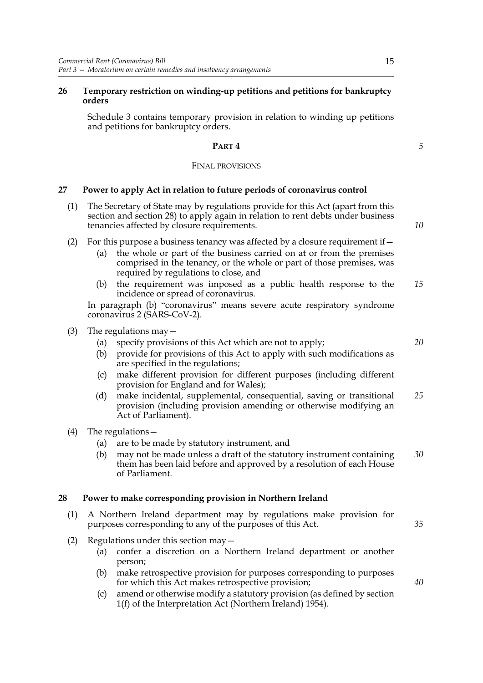#### **26 Temporary restriction on winding-up petitions and petitions for bankruptcy orders**

Schedule 3 contains temporary provision in relation to winding up petitions and petitions for bankruptcy orders.

#### **PART 4**

#### FINAL PROVISIONS

#### **27 Power to apply Act in relation to future periods of coronavirus control**

- (1) The Secretary of State may by regulations provide for this Act (apart from this section and section 28) to apply again in relation to rent debts under business tenancies affected by closure requirements.
- (2) For this purpose a business tenancy was affected by a closure requirement if  $-$ 
	- (a) the whole or part of the business carried on at or from the premises comprised in the tenancy, or the whole or part of those premises, was required by regulations to close, and
	- (b) the requirement was imposed as a public health response to the incidence or spread of coronavirus. *15*

In paragraph (b) "coronavirus" means severe acute respiratory syndrome coronavirus 2 (SARS-CoV-2).

- (3) The regulations may—
	- (a) specify provisions of this Act which are not to apply;
	- (b) provide for provisions of this Act to apply with such modifications as are specified in the regulations;
	- (c) make different provision for different purposes (including different provision for England and for Wales);
	- (d) make incidental, supplemental, consequential, saving or transitional provision (including provision amending or otherwise modifying an Act of Parliament). *25*
- (4) The regulations—
	- (a) are to be made by statutory instrument, and
	- (b) may not be made unless a draft of the statutory instrument containing them has been laid before and approved by a resolution of each House of Parliament. *30*

#### **28 Power to make corresponding provision in Northern Ireland**

- (1) A Northern Ireland department may by regulations make provision for purposes corresponding to any of the purposes of this Act.
- (2) Regulations under this section may—
	- (a) confer a discretion on a Northern Ireland department or another person;
	- (b) make retrospective provision for purposes corresponding to purposes for which this Act makes retrospective provision;
	- (c) amend or otherwise modify a statutory provision (as defined by section 1(f) of the Interpretation Act (Northern Ireland) 1954).

*20*

*5*

*10*

*35*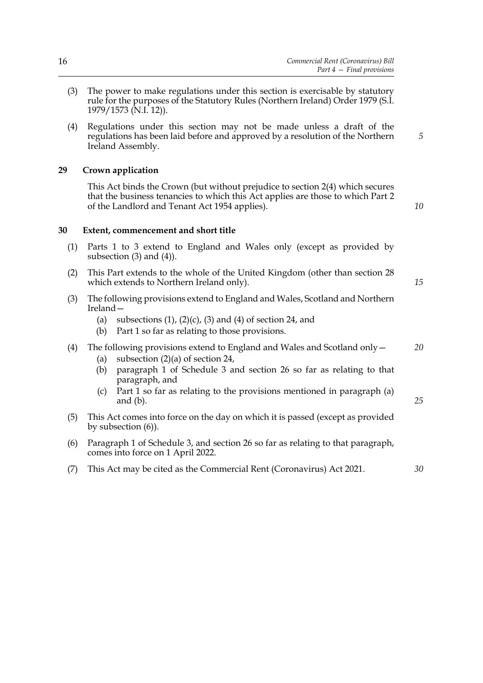- (3) The power to make regulations under this section is exercisable by statutory rule for the purposes of the Statutory Rules (Northern Ireland) Order 1979 (S.I. 1979/1573 (N.I. 12)).
- (4) Regulations under this section may not be made unless a draft of the regulations has been laid before and approved by a resolution of the Northern Ireland Assembly.

#### **29 Crown application**

This Act binds the Crown (but without prejudice to section 2(4) which secures that the business tenancies to which this Act applies are those to which Part 2 of the Landlord and Tenant Act 1954 applies).

*10*

*15*

*25*

*5*

#### **30 Extent, commencement and short title**

- (1) Parts 1 to 3 extend to England and Wales only (except as provided by subsection (3) and (4)).
- (2) This Part extends to the whole of the United Kingdom (other than section 28 which extends to Northern Ireland only).
- (3) The following provisions extend to England and Wales, Scotland and Northern Ireland—
	- (a) subsections  $(1)$ ,  $(2)(c)$ ,  $(3)$  and  $(4)$  of section 24, and
	- (b) Part 1 so far as relating to those provisions.

#### (4) The following provisions extend to England and Wales and Scotland only— *20*

- (a) subsection (2)(a) of section 24,
- (b) paragraph 1 of Schedule 3 and section 26 so far as relating to that paragraph, and
- (c) Part 1 so far as relating to the provisions mentioned in paragraph (a) and (b).
- (5) This Act comes into force on the day on which it is passed (except as provided by subsection (6)).
- (6) Paragraph 1 of Schedule 3, and section 26 so far as relating to that paragraph, comes into force on 1 April 2022.
- (7) This Act may be cited as the Commercial Rent (Coronavirus) Act 2021. *30*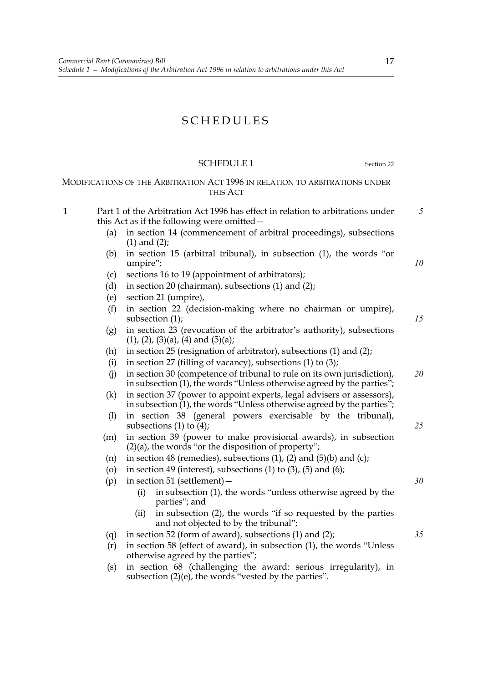### SCHEDULES

#### SCHEDULE 1 Section 22

#### MODIFICATIONS OF THE ARBITRATION ACT 1996 IN RELATION TO ARBITRATIONS UNDER THIS ACT

| Part 1 of the Arbitration Act 1996 has effect in relation to arbitrations under |  |
|---------------------------------------------------------------------------------|--|
| this Act as if the following were omitted –                                     |  |

- (a) in section 14 (commencement of arbitral proceedings), subsections (1) and (2);
- (b) in section 15 (arbitral tribunal), in subsection (1), the words "or umpire";
- (c) sections 16 to 19 (appointment of arbitrators);
- (d) in section 20 (chairman), subsections (1) and (2);
- (e) section 21 (umpire),
- (f) in section 22 (decision-making where no chairman or umpire), subsection (1);
- (g) in section 23 (revocation of the arbitrator's authority), subsections  $(1)$ ,  $(2)$ ,  $(3)(a)$ ,  $(4)$  and  $(5)(a)$ ;
- (h) in section 25 (resignation of arbitrator), subsections (1) and (2);
- (i) in section 27 (filling of vacancy), subsections (1) to (3);
- (j) in section 30 (competence of tribunal to rule on its own jurisdiction), in subsection (1), the words "Unless otherwise agreed by the parties"; *20*
- (k) in section 37 (power to appoint experts, legal advisers or assessors), in subsection  $(1)$ , the words "Unless otherwise agreed by the parties";
- (l) in section 38 (general powers exercisable by the tribunal), subsections (1) to  $(4)$ ;
- (m) in section 39 (power to make provisional awards), in subsection  $(2)(a)$ , the words "or the disposition of property";
- (n) in section 48 (remedies), subsections  $(1)$ ,  $(2)$  and  $(5)(b)$  and  $(c)$ ;
- (o) in section 49 (interest), subsections  $(1)$  to  $(3)$ ,  $(5)$  and  $(6)$ ;
- (p) in section 51 (settlement)—
	- (i) in subsection (1), the words "unless otherwise agreed by the parties"; and
	- (ii) in subsection (2), the words "if so requested by the parties and not objected to by the tribunal";
- (q) in section 52 (form of award), subsections (1) and (2);
- (r) in section 58 (effect of award), in subsection (1), the words "Unless otherwise agreed by the parties";
- (s) in section 68 (challenging the award: serious irregularity), in subsection  $(2)(e)$ , the words "vested by the parties".

*30*

*25*

*35*

*10*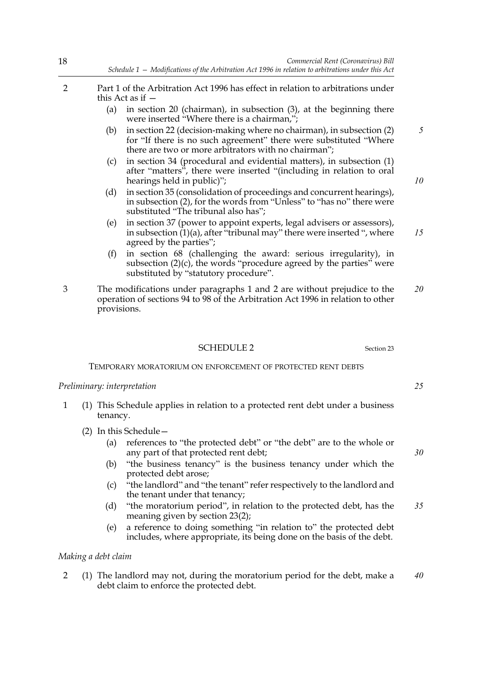- 2 Part 1 of the Arbitration Act 1996 has effect in relation to arbitrations under this Act as if —
	- (a) in section 20 (chairman), in subsection (3), at the beginning there were inserted "Where there is a chairman,";
	- (b) in section 22 (decision-making where no chairman), in subsection (2) for "If there is no such agreement" there were substituted "Where there are two or more arbitrators with no chairman";
	- (c) in section 34 (procedural and evidential matters), in subsection (1) after "matters", there were inserted "(including in relation to oral hearings held in public)";
	- (d) in section 35 (consolidation of proceedings and concurrent hearings), in subsection (2), for the words from "Unless" to "has no" there were substituted "The tribunal also has";
	- (e) in section 37 (power to appoint experts, legal advisers or assessors), in subsection  $(1)(a)$ , after "tribunal may" there were inserted ", where agreed by the parties";
	- (f) in section 68 (challenging the award: serious irregularity), in subsection  $(2)(c)$ , the words "procedure agreed by the parties" were substituted by "statutory procedure".
- 3 The modifications under paragraphs 1 and 2 are without prejudice to the operation of sections 94 to 98 of the Arbitration Act 1996 in relation to other provisions. *20*

SCHEDULE 2 Section 23

TEMPORARY MORATORIUM ON ENFORCEMENT OF PROTECTED RENT DEBTS

#### *Preliminary: interpretation*

- 1 (1) This Schedule applies in relation to a protected rent debt under a business tenancy.
	- (2) In this Schedule—
		- (a) references to "the protected debt" or "the debt" are to the whole or any part of that protected rent debt;
		- (b) "the business tenancy" is the business tenancy under which the protected debt arose;
		- (c) "the landlord" and "the tenant" refer respectively to the landlord and the tenant under that tenancy;
		- (d) "the moratorium period", in relation to the protected debt, has the meaning given by section 23(2); *35*
		- (e) a reference to doing something "in relation to" the protected debt includes, where appropriate, its being done on the basis of the debt.

#### *Making a debt claim*

2 (1) The landlord may not, during the moratorium period for the debt, make a debt claim to enforce the protected debt. *40*

*25*

*5*

*10*

*15*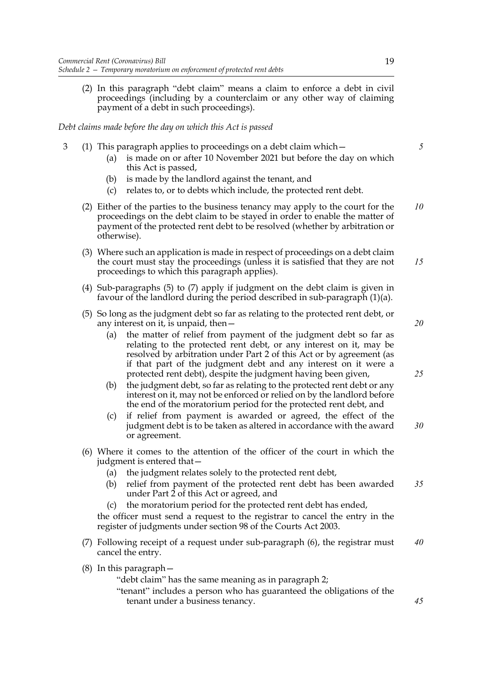(2) In this paragraph "debt claim" means a claim to enforce a debt in civil proceedings (including by a counterclaim or any other way of claiming payment of a debt in such proceedings).

*Debt claims made before the day on which this Act is passed*

- 3 (1) This paragraph applies to proceedings on a debt claim which—
	- (a) is made on or after 10 November 2021 but before the day on which this Act is passed,
	- (b) is made by the landlord against the tenant, and
	- (c) relates to, or to debts which include, the protected rent debt.
	- (2) Either of the parties to the business tenancy may apply to the court for the proceedings on the debt claim to be stayed in order to enable the matter of payment of the protected rent debt to be resolved (whether by arbitration or otherwise). *10*
	- (3) Where such an application is made in respect of proceedings on a debt claim the court must stay the proceedings (unless it is satisfied that they are not proceedings to which this paragraph applies). *15*
	- (4) Sub-paragraphs (5) to (7) apply if judgment on the debt claim is given in favour of the landlord during the period described in sub-paragraph (1)(a).
	- (5) So long as the judgment debt so far as relating to the protected rent debt, or any interest on it, is unpaid, then—
		- (a) the matter of relief from payment of the judgment debt so far as relating to the protected rent debt, or any interest on it, may be resolved by arbitration under Part 2 of this Act or by agreement (as if that part of the judgment debt and any interest on it were a protected rent debt), despite the judgment having been given,
		- (b) the judgment debt, so far as relating to the protected rent debt or any interest on it, may not be enforced or relied on by the landlord before the end of the moratorium period for the protected rent debt, and
		- (c) if relief from payment is awarded or agreed, the effect of the judgment debt is to be taken as altered in accordance with the award or agreement.
	- (6) Where it comes to the attention of the officer of the court in which the judgment is entered that—
		- (a) the judgment relates solely to the protected rent debt,
		- (b) relief from payment of the protected rent debt has been awarded under Part 2 of this Act or agreed, and *35*
		- (c) the moratorium period for the protected rent debt has ended,

the officer must send a request to the registrar to cancel the entry in the register of judgments under section 98 of the Courts Act 2003.

- (7) Following receipt of a request under sub-paragraph (6), the registrar must cancel the entry. *40*
- (8) In this paragraph—

"debt claim" has the same meaning as in paragraph 2;

"tenant" includes a person who has guaranteed the obligations of the tenant under a business tenancy.

*25*

*20*

*5*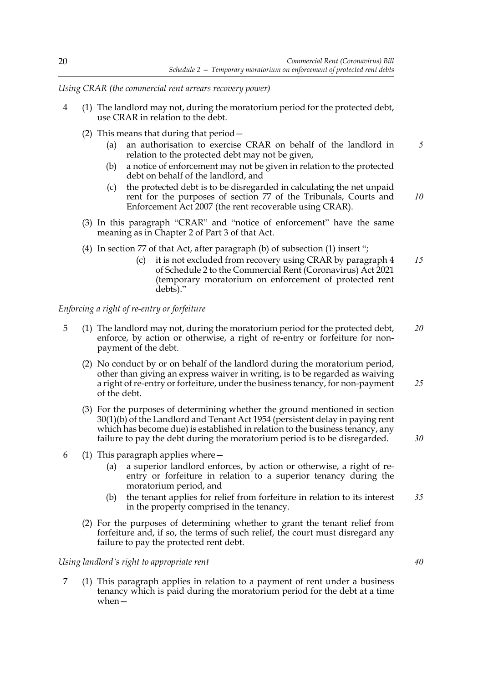*Using CRAR (the commercial rent arrears recovery power)*

- 4 (1) The landlord may not, during the moratorium period for the protected debt, use CRAR in relation to the debt.
	- (2) This means that during that period—
		- (a) an authorisation to exercise CRAR on behalf of the landlord in relation to the protected debt may not be given,
		- (b) a notice of enforcement may not be given in relation to the protected debt on behalf of the landlord, and
		- (c) the protected debt is to be disregarded in calculating the net unpaid rent for the purposes of section 77 of the Tribunals, Courts and Enforcement Act 2007 (the rent recoverable using CRAR). *10*
	- (3) In this paragraph "CRAR" and "notice of enforcement" have the same meaning as in Chapter 2 of Part 3 of that Act.
	- (4) In section 77 of that Act, after paragraph (b) of subsection (1) insert ";
		- (c) it is not excluded from recovery using CRAR by paragraph 4 of Schedule 2 to the Commercial Rent (Coronavirus) Act 2021 (temporary moratorium on enforcement of protected rent debts)." *15*

*Enforcing a right of re-entry or forfeiture*

- 5 (1) The landlord may not, during the moratorium period for the protected debt, enforce, by action or otherwise, a right of re-entry or forfeiture for nonpayment of the debt. *20*
	- (2) No conduct by or on behalf of the landlord during the moratorium period, other than giving an express waiver in writing, is to be regarded as waiving a right of re-entry or forfeiture, under the business tenancy, for non-payment of the debt. *25*
	- (3) For the purposes of determining whether the ground mentioned in section 30(1)(b) of the Landlord and Tenant Act 1954 (persistent delay in paying rent which has become due) is established in relation to the business tenancy, any failure to pay the debt during the moratorium period is to be disregarded.
- 6 (1) This paragraph applies where—
	- (a) a superior landlord enforces, by action or otherwise, a right of reentry or forfeiture in relation to a superior tenancy during the moratorium period, and
	- (b) the tenant applies for relief from forfeiture in relation to its interest in the property comprised in the tenancy. *35*
	- (2) For the purposes of determining whether to grant the tenant relief from forfeiture and, if so, the terms of such relief, the court must disregard any failure to pay the protected rent debt.

*Using landlord's right to appropriate rent*

7 (1) This paragraph applies in relation to a payment of rent under a business tenancy which is paid during the moratorium period for the debt at a time when*40*

*30*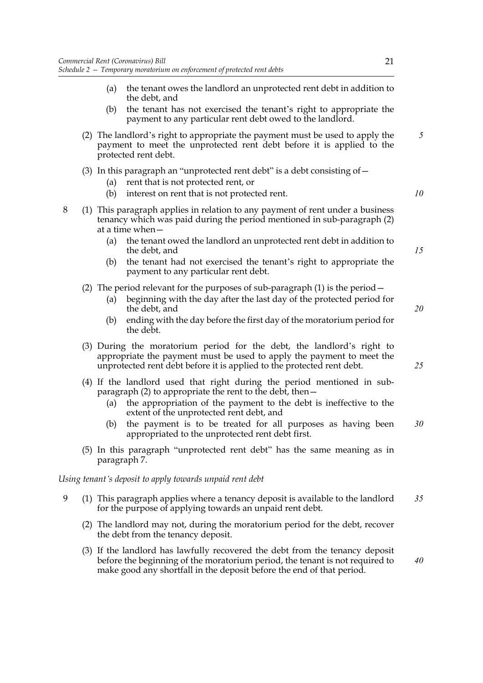- (a) the tenant owes the landlord an unprotected rent debt in addition to the debt, and
- (b) the tenant has not exercised the tenant's right to appropriate the payment to any particular rent debt owed to the landlord.
- (2) The landlord's right to appropriate the payment must be used to apply the payment to meet the unprotected rent debt before it is applied to the protected rent debt.

#### (3) In this paragraph an "unprotected rent debt" is a debt consisting of—

- (a) rent that is not protected rent, or
- (b) interest on rent that is not protected rent.
- 8 (1) This paragraph applies in relation to any payment of rent under a business tenancy which was paid during the period mentioned in sub-paragraph (2) at a time when—
	- (a) the tenant owed the landlord an unprotected rent debt in addition to the debt, and
	- (b) the tenant had not exercised the tenant's right to appropriate the payment to any particular rent debt.
	- (2) The period relevant for the purposes of sub-paragraph (1) is the period—
		- (a) beginning with the day after the last day of the protected period for the debt, and
		- (b) ending with the day before the first day of the moratorium period for the debt.
	- (3) During the moratorium period for the debt, the landlord's right to appropriate the payment must be used to apply the payment to meet the unprotected rent debt before it is applied to the protected rent debt.
	- (4) If the landlord used that right during the period mentioned in subparagraph (2) to appropriate the rent to the debt, then—
		- (a) the appropriation of the payment to the debt is ineffective to the extent of the unprotected rent debt, and
		- (b) the payment is to be treated for all purposes as having been appropriated to the unprotected rent debt first. *30*
	- (5) In this paragraph "unprotected rent debt" has the same meaning as in paragraph 7.

#### *Using tenant's deposit to apply towards unpaid rent debt*

- 9 (1) This paragraph applies where a tenancy deposit is available to the landlord for the purpose of applying towards an unpaid rent debt. *35*
	- (2) The landlord may not, during the moratorium period for the debt, recover the debt from the tenancy deposit.
	- (3) If the landlord has lawfully recovered the debt from the tenancy deposit before the beginning of the moratorium period, the tenant is not required to make good any shortfall in the deposit before the end of that period.

*15*

*5*

*10*

*20*

*25*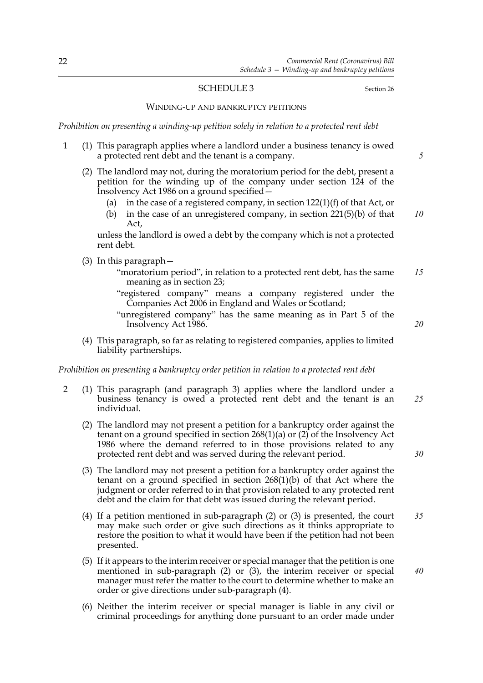#### SCHEDULE 3 Section 26

#### WINDING-UP AND BANKRUPTCY PETITIONS

*Prohibition on presenting a winding-up petition solely in relation to a protected rent debt*

- 1 (1) This paragraph applies where a landlord under a business tenancy is owed a protected rent debt and the tenant is a company.
	- (2) The landlord may not, during the moratorium period for the debt, present a petition for the winding up of the company under section 124 of the Insolvency Act 1986 on a ground specified—
		- (a) in the case of a registered company, in section  $122(1)(f)$  of that Act, or
		- (b) in the case of an unregistered company, in section 221(5)(b) of that Act, *10*

unless the landlord is owed a debt by the company which is not a protected rent debt.

- (3) In this paragraph—
	- "moratorium period", in relation to a protected rent debt, has the same meaning as in section 23; *15*
	- "registered company" means a company registered under the Companies Act 2006 in England and Wales or Scotland;
	- "unregistered company" has the same meaning as in Part 5 of the Insolvency Act 1986.
- (4) This paragraph, so far as relating to registered companies, applies to limited liability partnerships.

*Prohibition on presenting a bankruptcy order petition in relation to a protected rent debt*

- 2 (1) This paragraph (and paragraph 3) applies where the landlord under a business tenancy is owed a protected rent debt and the tenant is an individual. *25*
	- (2) The landlord may not present a petition for a bankruptcy order against the tenant on a ground specified in section 268(1)(a) or (2) of the Insolvency Act 1986 where the demand referred to in those provisions related to any protected rent debt and was served during the relevant period.
	- (3) The landlord may not present a petition for a bankruptcy order against the tenant on a ground specified in section 268(1)(b) of that Act where the judgment or order referred to in that provision related to any protected rent debt and the claim for that debt was issued during the relevant period.
	- (4) If a petition mentioned in sub-paragraph (2) or (3) is presented, the court may make such order or give such directions as it thinks appropriate to restore the position to what it would have been if the petition had not been presented. *35*
	- (5) If it appears to the interim receiver or special manager that the petition is one mentioned in sub-paragraph (2) or (3), the interim receiver or special manager must refer the matter to the court to determine whether to make an order or give directions under sub-paragraph (4).
	- (6) Neither the interim receiver or special manager is liable in any civil or criminal proceedings for anything done pursuant to an order made under

*20*

*5*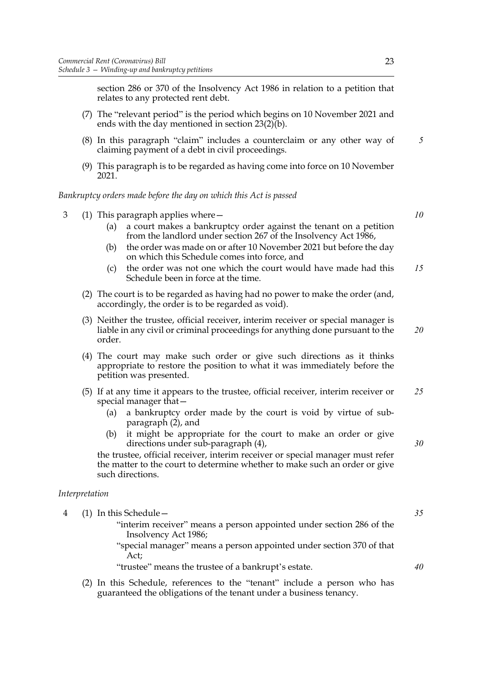section 286 or 370 of the Insolvency Act 1986 in relation to a petition that relates to any protected rent debt.

- (7) The "relevant period" is the period which begins on 10 November 2021 and ends with the day mentioned in section 23(2)(b).
- (8) In this paragraph "claim" includes a counterclaim or any other way of claiming payment of a debt in civil proceedings. *5*
- (9) This paragraph is to be regarded as having come into force on 10 November 2021

*Bankruptcy orders made before the day on which this Act is passed*

3 (1) This paragraph applies where—

*10*

- (a) a court makes a bankruptcy order against the tenant on a petition from the landlord under section 267 of the Insolvency Act 1986,
- (b) the order was made on or after 10 November 2021 but before the day on which this Schedule comes into force, and
- (c) the order was not one which the court would have made had this Schedule been in force at the time. *15*
- (2) The court is to be regarded as having had no power to make the order (and, accordingly, the order is to be regarded as void).
- (3) Neither the trustee, official receiver, interim receiver or special manager is liable in any civil or criminal proceedings for anything done pursuant to the order. *20*
- (4) The court may make such order or give such directions as it thinks appropriate to restore the position to what it was immediately before the petition was presented.
- (5) If at any time it appears to the trustee, official receiver, interim receiver or special manager that— *25*
	- (a) a bankruptcy order made by the court is void by virtue of subparagraph $(2)$ , and
	- (b) it might be appropriate for the court to make an order or give directions under sub-paragraph (4),

the trustee, official receiver, interim receiver or special manager must refer the matter to the court to determine whether to make such an order or give such directions.

#### *Interpretation*

4 (1) In this Schedule— "interim receiver" means a person appointed under section 286 of the Insolvency Act 1986; "special manager" means a person appointed under section 370 of that Act; "trustee" means the trustee of a bankrupt's estate. (2) In this Schedule, references to the "tenant" include a person who has guaranteed the obligations of the tenant under a business tenancy. *35 40*